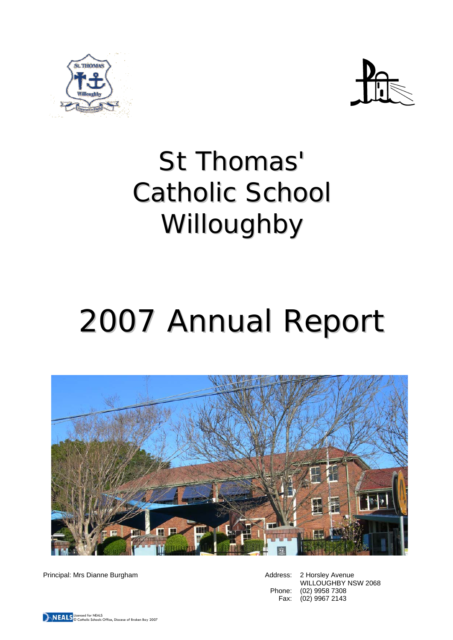



# St Thomas' Catholic School Willoughby

# 2007 Annual Report



Principal: Mrs Dianne Burgham **Address: 2 Horsley Avenue** Address: 2 Horsley Avenue

WILLOUGHBY NSW 2068 Phone: (02) 9958 7308 Fax: (02) 9967 2143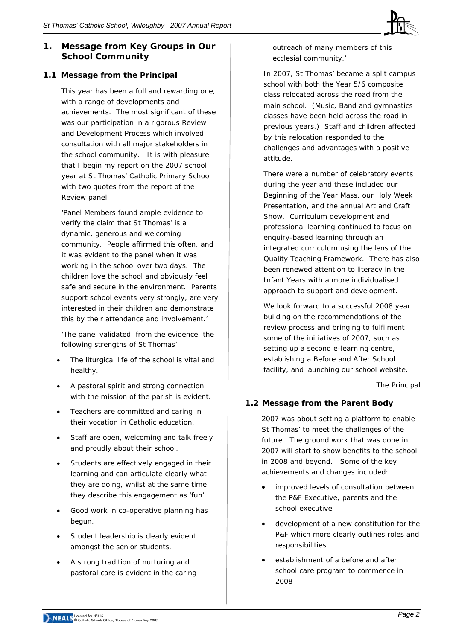# **1. Message from Key Groups in Our School Community**

# **1.1 Message from the Principal**

This year has been a full and rewarding one, with a range of developments and achievements. The most significant of these was our participation in a rigorous Review and Development Process which involved consultation with all major stakeholders in the school community. It is with pleasure that I begin my report on the 2007 school year at St Thomas' Catholic Primary School with two quotes from the report of the Review panel.

'Panel Members found ample evidence to verify the claim that St Thomas' is a dynamic, generous and welcoming community. People affirmed this often, and it was evident to the panel when it was working in the school over two days. The children love the school and obviously feel safe and secure in the environment. Parents support school events very strongly, are very interested in their children and demonstrate this by their attendance and involvement.'

'The panel validated, from the evidence, the following strengths of St Thomas':

- The liturgical life of the school is vital and healthy.
- A pastoral spirit and strong connection with the mission of the parish is evident.
- Teachers are committed and caring in their vocation in Catholic education.
- Staff are open, welcoming and talk freely and proudly about their school.
- Students are effectively engaged in their learning and can articulate clearly what they are doing, whilst at the same time they describe this engagement as 'fun'.
- Good work in co-operative planning has begun.
- Student leadership is clearly evident amongst the senior students.
- A strong tradition of nurturing and pastoral care is evident in the caring

outreach of many members of this ecclesial community.'

In 2007, St Thomas' became a split campus school with both the Year 5/6 composite class relocated across the road from the main school. (Music, Band and gymnastics classes have been held across the road in previous years.) Staff and children affected by this relocation responded to the challenges and advantages with a positive attitude.

There were a number of celebratory events during the year and these included our Beginning of the Year Mass, our Holy Week Presentation, and the annual Art and Craft Show.Curriculum development and professional learning continued to focus on enquiry-based learning through an integrated curriculum using the lens of the Quality Teaching Framework. There has also been renewed attention to literacy in the Infant Years with a more individualised approach to support and development.

We look forward to a successful 2008 year building on the recommendations of the review process and bringing to fulfilment some of the initiatives of 2007, such as setting up a second e-learning centre, establishing a Before and After School facility, and launching our school website.

 *The Principal* 

# **1.2 Message from the Parent Body**

2007 was about setting a platform to enable St Thomas' to meet the challenges of the future. The ground work that was done in 2007 will start to show benefits to the school in 2008 and beyond. Some of the key achievements and changes included:

- improved levels of consultation between the P&F Executive, parents and the school executive
- development of a new constitution for the P&F which more clearly outlines roles and responsibilities
- establishment of a before and after school care program to commence in 2008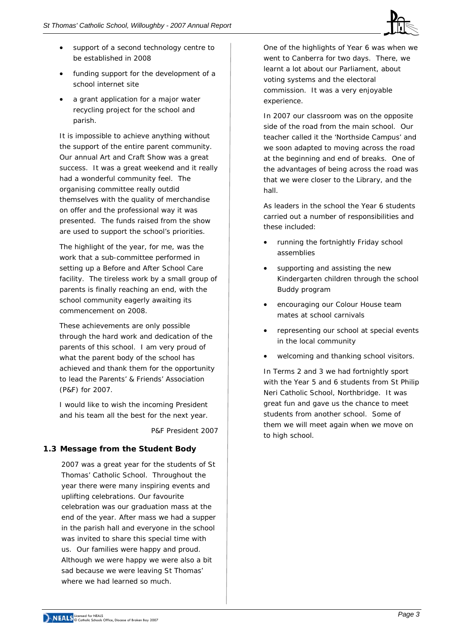

- support of a second technology centre to be established in 2008
- funding support for the development of a school internet site
- a grant application for a major water recycling project for the school and parish.

It is impossible to achieve anything without the support of the entire parent community. Our annual Art and Craft Show was a great success. It was a great weekend and it really had a wonderful community feel. The organising committee really outdid themselves with the quality of merchandise on offer and the professional way it was presented. The funds raised from the show are used to support the school's priorities.

The highlight of the year, for me, was the work that a sub-committee performed in setting up a Before and After School Care facility. The tireless work by a small group of parents is finally reaching an end, with the school community eagerly awaiting its commencement on 2008.

These achievements are only possible through the hard work and dedication of the parents of this school. I am very proud of what the parent body of the school has achieved and thank them for the opportunity to lead the Parents' & Friends' Association (P&F) for 2007.

I would like to wish the incoming President and his team all the best for the next year*.* 

*P&F President 2007* 

# **1.3 Message from the Student Body**

2007 was a great year for the students of St Thomas' Catholic School. Throughout the year there were many inspiring events and uplifting celebrations. Our favourite celebration was our graduation mass at the end of the year. After mass we had a supper in the parish hall and everyone in the school was invited to share this special time with us. Our families were happy and proud. Although we were happy we were also a bit sad because we were leaving St Thomas' where we had learned so much.

One of the highlights of Year 6 was when we went to Canberra for two days. There, we learnt a lot about our Parliament, about voting systems and the electoral commission. It was a very enjoyable experience.

In 2007 our classroom was on the opposite side of the road from the main school. Our teacher called it the 'Northside Campus' and we soon adapted to moving across the road at the beginning and end of breaks. One of the advantages of being across the road was that we were closer to the Library, and the hall.

As leaders in the school the Year 6 students carried out a number of responsibilities and these included:

- running the fortnightly Friday school assemblies
- supporting and assisting the new Kindergarten children through the school Buddy program
- encouraging our Colour House team mates at school carnivals
- representing our school at special events in the local community
- welcoming and thanking school visitors.

In Terms 2 and 3 we had fortnightly sport with the Year 5 and 6 students from St Philip Neri Catholic School, Northbridge. It was great fun and gave us the chance to meet students from another school. Some of them we will meet again when we move on to high school.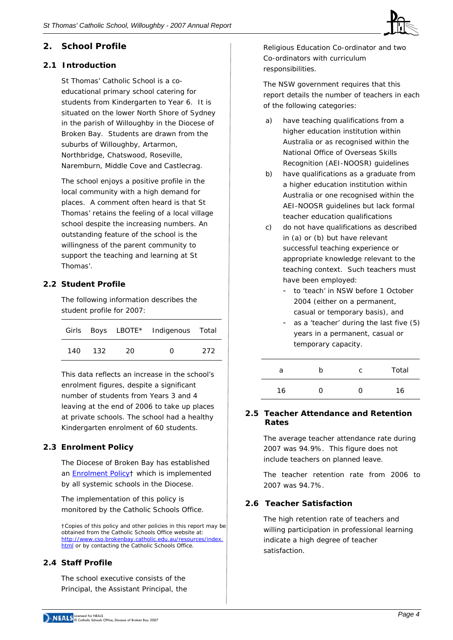

# **2. School Profile**

### **2.1 Introduction**

St Thomas' Catholic School is a coeducational primary school catering for students from Kindergarten to Year 6. It is situated on the lower North Shore of Sydney in the parish of Willoughby in the Diocese of Broken Bay. Students are drawn from the suburbs of Willoughby, Artarmon, Northbridge, Chatswood, Roseville, Naremburn, Middle Cove and Castlecrag.

The school enjoys a positive profile in the local community with a high demand for places. A comment often heard is that St Thomas' retains the feeling of a local village school despite the increasing numbers. An outstanding feature of the school is the willingness of the parent community to support the teaching and learning at St Thomas'.

# **2.2 Student Profile**

The following information describes the student profile for 2007:

|       |       |    | Girls Boys LBOTE* Indigenous Total |     |
|-------|-------|----|------------------------------------|-----|
| 140 I | - 132 | 20 | $\mathbf{\Omega}$                  | 272 |

This data reflects an increase in the school's enrolment figures, despite a significant number of students from Years 3 and 4 leaving at the end of 2006 to take up places at private schools. The school had a healthy Kindergarten enrolment of 60 students.

# **2.3 Enrolment Policy**

The Diocese of Broken Bay has established an [Enrolment Policy†](http://www.cso.brokenbay.catholic.edu.au/resources/pdfs/Policy-Enrolment_Apr2006.pdf) which is implemented by all systemic schools in the Diocese.

The implementation of this policy is monitored by the Catholic Schools Office.

†Copies of this policy and other policies in this report may be obtained from the Catholic Schools Office website at: [http://www.cso.brokenbay.catholic.edu.au/resources/index.](http://www.cso.brokenbay.catholic.edu.au/resources/index.html) [html](http://www.cso.brokenbay.catholic.edu.au/resources/index.html) or by contacting the Catholic Schools Office.

# **2.4 Staff Profile**

The school executive consists of the Principal, the Assistant Principal, the

Religious Education Co-ordinator and two Co-ordinators with curriculum responsibilities.

The NSW government requires that this report details the number of teachers in each of the following categories:

- a) have teaching qualifications from a higher education institution within Australia or as recognised within the National Office of Overseas Skills Recognition (AEI-NOOSR) guidelines
- b) have qualifications as a graduate from a higher education institution within Australia or one recognised within the AEI-NOOSR guidelines but lack formal teacher education qualifications
- c) do not have qualifications as described in (a) or (b) but have relevant successful teaching experience or appropriate knowledge relevant to the teaching context. Such teachers must have been employed:
	- to 'teach' in NSW before 1 October 2004 (either on a permanent, casual or temporary basis), and
	- as a 'teacher' during the last five (5) years in a permanent, casual or temporary capacity.

| a  | n | C | Total |
|----|---|---|-------|
| 16 | 0 | 0 | 16    |

# **2.5 Teacher Attendance and Retention Rates**

The average teacher attendance rate during 2007 was 94.9%. This figure does not include teachers on planned leave.

The teacher retention rate from 2006 to 2007 was 94.7%.

# **2.6 Teacher Satisfaction**

The high retention rate of teachers and willing participation in professional learning indicate a high degree of teacher satisfaction*.*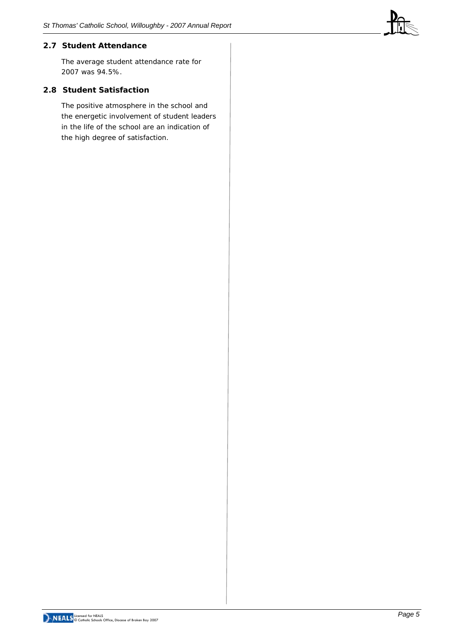# **2.7 Student Attendance**

The average student attendance rate for 2007 was 94.5%.

### **2.8 Student Satisfaction**

The positive atmosphere in the school and the energetic involvement of student leaders in the life of the school are an indication of the high degree of satisfaction.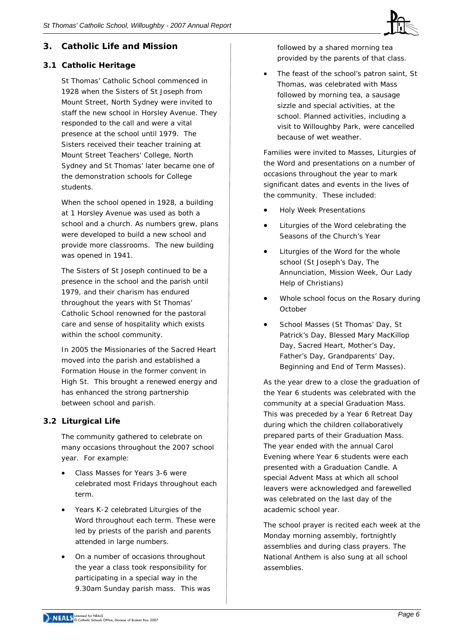

# **3. Catholic Life and Mission**

# **3.1 Catholic Heritage**

St Thomas' Catholic School commenced in 1928 when the Sisters of St Joseph from Mount Street, North Sydney were invited to staff the new school in Horsley Avenue. They responded to the call and were a vital presence at the school until 1979. The Sisters received their teacher training at Mount Street Teachers' College, North Sydney and St Thomas' later became one of the demonstration schools for College students.

When the school opened in 1928, a building at 1 Horsley Avenue was used as both a school and a church. As numbers grew, plans were developed to build a new school and provide more classrooms. The new building was opened in 1941.

The Sisters of St Joseph continued to be a presence in the school and the parish until 1979, and their charism has endured throughout the years with St Thomas' Catholic School renowned for the pastoral care and sense of hospitality which exists within the school community.

In 2005 the Missionaries of the Sacred Heart moved into the parish and established a Formation House in the former convent in High St. This brought a renewed energy and has enhanced the strong partnership between school and parish.

# **3.2 Liturgical Life**

The community gathered to celebrate on many occasions throughout the 2007 school year. For example:

- Class Masses for Years 3-6 were celebrated most Fridays throughout each term.
- Years K-2 celebrated Liturgies of the Word throughout each term. These were led by priests of the parish and parents attended in large numbers.
- On a number of occasions throughout the year a class took responsibility for participating in a special way in the 9.30am Sunday parish mass. This was

followed by a shared morning tea provided by the parents of that class.

The feast of the school's patron saint, St Thomas, was celebrated with Mass followed by morning tea, a sausage sizzle and special activities, at the school. Planned activities, including a visit to Willoughby Park, were cancelled because of wet weather.

Families were invited to Masses, Liturgies of the Word and presentations on a number of occasions throughout the year to mark significant dates and events in the lives of the community. These included:

- Holy Week Presentations
- Liturgies of the Word celebrating the Seasons of the Church's Year
- Liturgies of the Word for the whole school (St Joseph's Day, The Annunciation*,* Mission Week, Our Lady Help of Christians)
- Whole school focus on the Rosary during October
- School Masses (St Thomas' Day, St Patrick's Day, Blessed Mary MacKillop Day, Sacred Heart, Mother's Day, Father's Day, Grandparents' Day, Beginning and End of Term Masses).

As the year drew to a close the graduation of the Year 6 students was celebrated with the community at a special Graduation Mass. This was preceded by a Year 6 Retreat Day during which the children collaboratively prepared parts of their Graduation Mass. The year ended with the annual Carol Evening where Year 6 students were each presented with a Graduation Candle. A special Advent Mass at which all school leavers were acknowledged and farewelled was celebrated on the last day of the academic school year.

The school prayer is recited each week at the Monday morning assembly, fortnightly assemblies and during class prayers. The National Anthem is also sung at all school assemblies.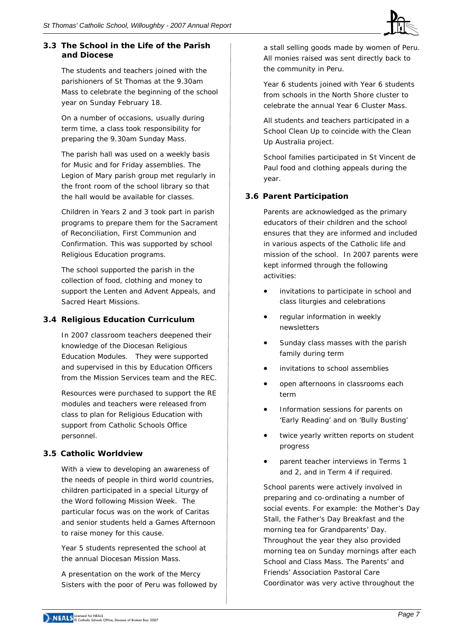# **3.3 The School in the Life of the Parish and Diocese**

The students and teachers joined with the parishioners of St Thomas at the 9.30am Mass to celebrate the beginning of the school year on Sunday February 18.

On a number of occasions, usually during term time, a class took responsibility for preparing the 9.30am Sunday Mass.

The parish hall was used on a weekly basis for Music and for Friday assemblies. The Legion of Mary parish group met regularly in the front room of the school library so that the hall would be available for classes.

Children in Years 2 and 3 took part in parish programs to prepare them for the Sacrament of Reconciliation, First Communion and Confirmation. This was supported by school Religious Education programs.

The school supported the parish in the collection of food, clothing and money to support the Lenten and Advent Appeals, and Sacred Heart Missions.

# **3.4 Religious Education Curriculum**

In 2007 classroom teachers deepened their knowledge of the Diocesan Religious Education Modules. They were supported and supervised in this by Education Officers from the Mission Services team and the REC.

Resources were purchased to support the RE modules and teachers were released from class to plan for Religious Education with support from Catholic Schools Office personnel.

# **3.5 Catholic Worldview**

With a view to developing an awareness of the needs of people in third world countries, children participated in a special Liturgy of the Word following Mission Week. The particular focus was on the work of Caritas and senior students held a Games Afternoon to raise money for this cause.

Year 5 students represented the school at the annual Diocesan Mission Mass.

A presentation on the work of the Mercy Sisters with the poor of Peru was followed by

a stall selling goods made by women of Peru. All monies raised was sent directly back to the community in Peru.

Year 6 students joined with Year 6 students from schools in the North Shore cluster to celebrate the annual Year 6 Cluster Mass.

All students and teachers participated in a School Clean Up to coincide with the Clean Up Australia project.

School families participated in St Vincent de Paul food and clothing appeals during the year.

# **3.6 Parent Participation**

Parents are acknowledged as the primary educators of their children and the school ensures that they are informed and included in various aspects of the Catholic life and mission of the school. In 2007 parents were kept informed through the following activities:

- invitations to participate in school and class liturgies and celebrations
- regular information in weekly newsletters
- Sunday class masses with the parish family during term
- invitations to school assemblies
- open afternoons in classrooms each term
- Information sessions for parents on 'Early Reading' and on 'Bully Busting'
- twice yearly written reports on student progress
- parent teacher interviews in Terms 1 and 2, and in Term 4 if required.

School parents were actively involved in preparing and co-ordinating a number of social events. For example: the Mother's Day Stall, the Father's Day Breakfast and the morning tea for Grandparents' Day. Throughout the year they also provided morning tea on Sunday mornings after each School and Class Mass. The Parents' and Friends' Association Pastoral Care Coordinator was very active throughout the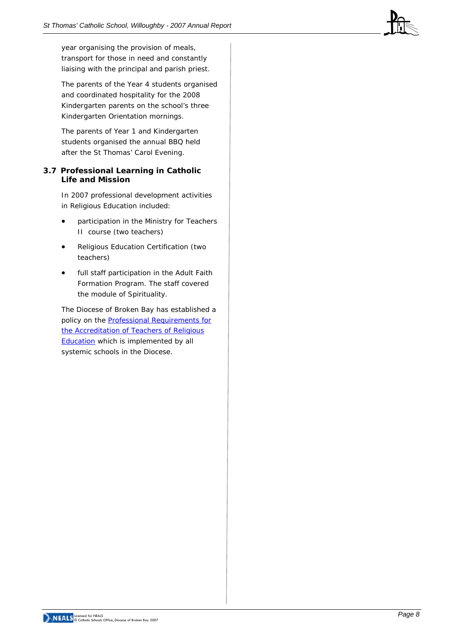year organising the provision of meals, transport for those in need and constantly liaising with the principal and parish priest.

The parents of the Year 4 students organised and coordinated hospitality for the 2008 Kindergarten parents on the school's three Kindergarten Orientation mornings.

The parents of Year 1 and Kindergarten students organised the annual BBQ held after the St Thomas' Carol Evening.

### **3.7 Professional Learning in Catholic Life and Mission**

In 2007 professional development activities in Religious Education included:

- participation in the Ministry for Teachers II course (two teachers)
- Religious Education Certification (two teachers)
- full staff participation in the Adult Faith Formation Program. The staff covered the module of Spirituality.

The Diocese of Broken Bay has established a policy on the [Professional Requirements for](http://www.cso.brokenbay.catholic.edu.au/resources/pdfs/Policy-Rqs_Accrd_Tchrs_RE.pdf)  [the Accreditation of Teachers of Religious](http://www.cso.brokenbay.catholic.edu.au/resources/pdfs/Policy-Rqs_Accrd_Tchrs_RE.pdf)  **[Education](http://www.cso.brokenbay.catholic.edu.au/resources/pdfs/Policy-Rqs_Accrd_Tchrs_RE.pdf)** which is implemented by all systemic schools in the Diocese.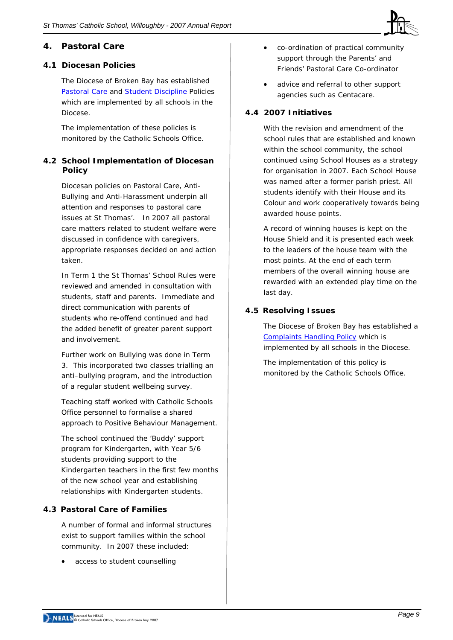

# **4. Pastoral Care**

# **4.1 Diocesan Policies**

The Diocese of Broken Bay has established [Pastoral Care](http://www.cso.brokenbay.catholic.edu.au/resources/pdfs/Policy-Pastoral_Care_Oct05.pdf) and [Student Discipline](http://www.cso.brokenbay.catholic.edu.au/resources/pdfs/Policy_-_Student_Discipline_Policy_Oct05.pdf) Policies which are implemented by all schools in the Diocese.

The implementation of these policies is monitored by the Catholic Schools Office.

# **4.2 School Implementation of Diocesan Policy**

Diocesan policies on Pastoral Care, Anti-Bullying and Anti-Harassment underpin all attention and responses to pastoral care issues at St Thomas'. In 2007 all pastoral care matters related to student welfare were discussed in confidence with caregivers, appropriate responses decided on and action taken.

In Term 1 the St Thomas' School Rules were reviewed and amended in consultation with students, staff and parents. Immediate and direct communication with parents of students who re-offend continued and had the added benefit of greater parent support and involvement.

Further work on Bullying was done in Term 3. This incorporated two classes trialling an anti–bullying program, and the introduction of a regular student wellbeing survey.

Teaching staff worked with Catholic Schools Office personnel to formalise a shared approach to Positive Behaviour Management.

The school continued the 'Buddy' support program for Kindergarten, with Year 5/6 students providing support to the Kindergarten teachers in the first few months of the new school year and establishing relationships with Kindergarten students.

# **4.3 Pastoral Care of Families**

A number of formal and informal structures exist to support families within the school community. In 2007 these included:

access to student counselling

- co-ordination of practical community support through the Parents' and Friends' Pastoral Care Co-ordinator
- advice and referral to other support agencies such as Centacare.

# **4.4 2007 Initiatives**

With the revision and amendment of the school rules that are established and known within the school community, the school continued using School Houses as a strategy for organisation in 2007. Each School House was named after a former parish priest. All students identify with their House and its Colour and work cooperatively towards being awarded house points.

A record of winning houses is kept on the House Shield and it is presented each week to the leaders of the house team with the most points. At the end of each term members of the overall winning house are rewarded with an extended play time on the last day.

# **4.5 Resolving Issues**

The Diocese of Broken Bay has established a [Complaints Handling Policy](http://www.cso.brokenbay.catholic.edu.au/resources/pdfs/Policy-Complaints_Handling.pdf) which is implemented by all schools in the Diocese.

The implementation of this policy is monitored by the Catholic Schools Office.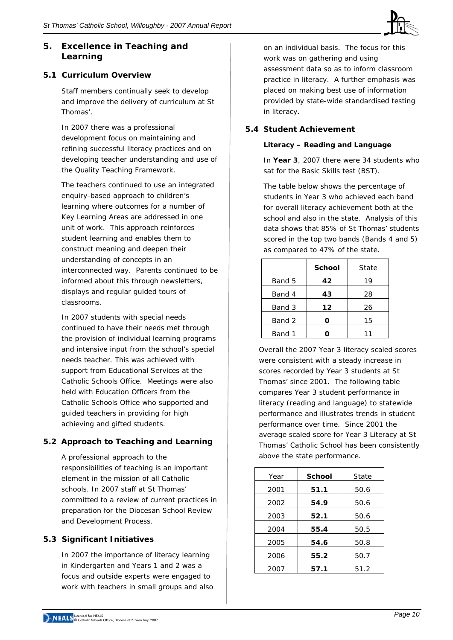# **5. Excellence in Teaching and Learning**

# **5.1 Curriculum Overview**

Staff members continually seek to develop and improve the delivery of curriculum at St Thomas'.

In 2007 there was a professional development focus on maintaining and refining successful literacy practices and on developing teacher understanding and use of the Quality Teaching Framework*.* 

The teachers continued to use an integrated enquiry-based approach to children's learning where outcomes for a number of Key Learning Areas are addressed in one unit of work. This approach reinforces student learning and enables them to construct meaning and deepen their understanding of concepts in an interconnected way. Parents continued to be informed about this through newsletters, displays and regular guided tours of classrooms.

In 2007 students with special needs continued to have their needs met through the provision of individual learning programs and intensive input from the school's special needs teacher. This was achieved with support from Educational Services at the Catholic Schools Office. Meetings were also held with Education Officers from the Catholic Schools Office who supported and guided teachers in providing for high achieving and gifted students.

# **5.2 Approach to Teaching and Learning**

A professional approach to the responsibilities of teaching is an important element in the mission of all Catholic schools. In 2007 staff at St Thomas' committed to a review of current practices in preparation for the Diocesan School Review and Development Process.

# **5.3 Significant Initiatives**

In 2007 the importance of literacy learning in Kindergarten and Years 1 and 2 was a focus and outside experts were engaged to work with teachers in small groups and also

on an individual basis. The focus for this work was on gathering and using assessment data so as to inform classroom practice in literacy. A further emphasis was placed on making best use of information provided by state-wide standardised testing in literacy.

# **5.4 Student Achievement**

### *Literacy – Reading and Language*

In **Year 3**, 2007 there were 34 students who sat for the Basic Skills test (BST).

The table below shows the percentage of students in Year 3 who achieved each band for overall literacy achievement both at the school and also in the state. Analysis of this data shows that 85% of St Thomas' students scored in the top two bands (Bands 4 and 5) as compared to 47% of the state.

|        | <b>School</b> | State |
|--------|---------------|-------|
| Band 5 | 42            | 19    |
| Band 4 | 43            | 28    |
| Band 3 | 12            | 26    |
| Band 2 | Ω             | 15    |
| Band 1 |               | า า   |

Overall the 2007 Year 3 literacy scaled scores were consistent with a steady increase in scores recorded by Year 3 students at St Thomas' since 2001. The following table compares Year 3 student performance in literacy (reading and language) to statewide performance and illustrates trends in student performance over time. Since 2001 the average scaled score for Year 3 Literacy at St Thomas' Catholic School has been consistently above the state performance.

| Year | School | State |
|------|--------|-------|
| 2001 | 51.1   | 50.6  |
| 2002 | 54.9   | 50.6  |
| 2003 | 52.1   | 50.6  |
| 2004 | 55.4   | 50.5  |
| 2005 | 54.6   | 50.8  |
| 2006 | 55.2   | 50.7  |
| 2007 | 57.1   | 51.2  |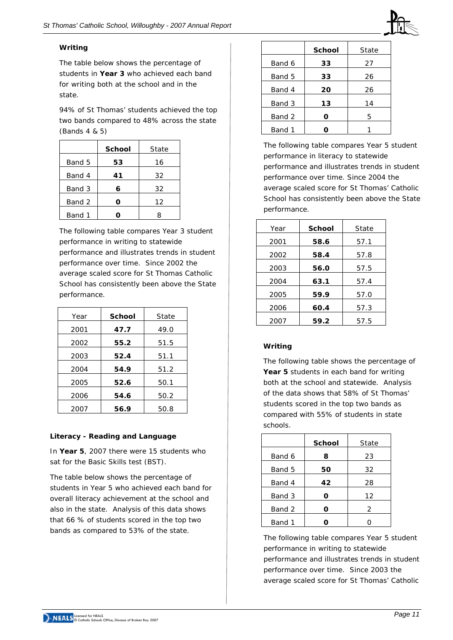

## *Writing*

The table below shows the percentage of students in **Year 3** who achieved each band for writing both at the school and in the state.

94% of St Thomas' students achieved the top two bands compared to 48% across the state (Bands 4 & 5)

|        | <b>School</b> | State |
|--------|---------------|-------|
| Band 5 | 53            | 16    |
| Band 4 | 41            | 32    |
| Band 3 | 6             | 32    |
| Band 2 | ი             | 12    |
| Band 1 |               | 8     |

The following table compares Year 3 student performance in writing to statewide performance and illustrates trends in student performance over time. Since 2002 the average scaled score for St Thomas Catholic School has consistently been above the State performance.

| Year | <b>School</b> | State |
|------|---------------|-------|
| 2001 | 47.7          | 49.0  |
| 2002 | 55.2          | 51.5  |
| 2003 | 52.4          | 51.1  |
| 2004 | 54.9          | 51.2  |
| 2005 | 52.6          | 50.1  |
| 2006 | 54.6          | 50.2  |
| 2007 | 56.9          | 50.8  |

# *Literacy - Reading and Language*

In **Year 5**, 2007 there were 15 students who sat for the Basic Skills test (BST).

The table below shows the percentage of students in Year 5 who achieved each band for overall literacy achievement at the school and also in the state. Analysis of this data shows that 66 % of students scored in the top two bands as compared to 53% of the state.

|        | <b>School</b> | State |
|--------|---------------|-------|
| Band 6 | 33            | 27    |
| Band 5 | 33            | 26    |
| Band 4 | 20            | 26    |
| Band 3 | 13            | 14    |
| Band 2 | Ω             | 5     |
| Band 1 |               |       |

The following table compares Year 5 student performance in literacy to statewide performance and illustrates trends in student performance over time. Since 2004 the average scaled score for St Thomas' Catholic School has consistently been above the State performance.

| Year | <b>School</b> | State |
|------|---------------|-------|
| 2001 | 58.6          | 57.1  |
| 2002 | 58.4          | 57.8  |
| 2003 | 56.0          | 57.5  |
| 2004 | 63.1          | 57.4  |
| 2005 | 59.9          | 57.0  |
| 2006 | 60.4          | 57.3  |
| 2007 | 59.2          | 57.5  |

# *Writing*

The following table shows the percentage of Year 5 students in each band for writing both at the school and statewide. Analysis of the data shows that 58% of St Thomas' students scored in the top two bands as compared with 55% of students in state schools.

|        | <b>School</b> | State |
|--------|---------------|-------|
| Band 6 | 8             | 23    |
| Band 5 | 50            | 32    |
| Band 4 | 42            | 28    |
| Band 3 | O             | 12    |
| Band 2 | O             | 2     |
| Band 1 |               |       |
|        |               |       |

The following table compares Year 5 student performance in writing to statewide performance and illustrates trends in student performance over time. Since 2003 the average scaled score for St Thomas' Catholic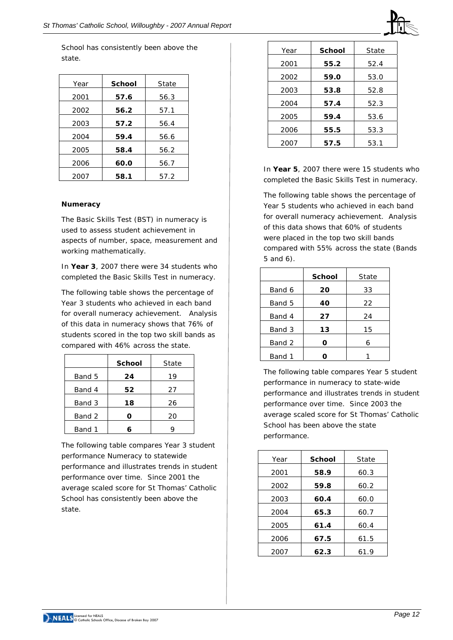School has consistently been above the state.

| Year | School | State |
|------|--------|-------|
| 2001 | 57.6   | 56.3  |
| 2002 | 56.2   | 57.1  |
| 2003 | 57.2   | 56.4  |
| 2004 | 59.4   | 56.6  |
| 2005 | 58.4   | 56.2  |
| 2006 | 60.0   | 56.7  |
| 2007 | 58.1   | 57.2  |

#### *Numeracy*

The Basic Skills Test (BST) in numeracy is used to assess student achievement in aspects of number, space, measurement and working mathematically.

In **Year 3**, 2007 there were 34 students who completed the Basic Skills Test in numeracy.

The following table shows the percentage of Year 3 students who achieved in each band for overall numeracy achievement. Analysis of this data in numeracy shows that 76% of students scored in the top two skill bands as compared with 46% across the state.

|        | <b>School</b> | State |
|--------|---------------|-------|
| Band 5 | 24            | 19    |
| Band 4 | 52            | 27    |
| Band 3 | 18            | 26    |
| Band 2 | Ω             | 20    |
| Band 1 |               |       |

The following table compares Year 3 student performance Numeracy to statewide performance and illustrates trends in student performance over time. Since 2001 the average scaled score for St Thomas' Catholic School has consistently been above the state.

| Year | School | State |
|------|--------|-------|
| 2001 | 55.2   | 52.4  |
| 2002 | 59.0   | 53.0  |
| 2003 | 53.8   | 52.8  |
| 2004 | 57.4   | 52.3  |
| 2005 | 59.4   | 53.6  |
| 2006 | 55.5   | 53.3  |
| 2007 | 57.5   | 53.1  |

In **Year 5**, 2007 there were 15 students who completed the Basic Skills Test in numeracy.

The following table shows the percentage of Year 5 students who achieved in each band for overall numeracy achievement. Analysis of this data shows that 60% of students were placed in the top two skill bands compared with 55% across the state (Bands 5 and 6).

|        | <b>School</b> | State |
|--------|---------------|-------|
| Band 6 | 20            | 33    |
| Band 5 | 40            | 22    |
| Band 4 | 27            | 24    |
| Band 3 | 13            | 15    |
| Band 2 | O             | 6     |
| Band 1 |               |       |

The following table compares Year 5 student performance in numeracy to state-wide performance and illustrates trends in student performance over time. Since 2003 the average scaled score for St Thomas' Catholic School has been above the state performance.

| Year | School | State |  |  |
|------|--------|-------|--|--|
| 2001 | 58.9   | 60.3  |  |  |
| 2002 | 59.8   | 60.2  |  |  |
| 2003 | 60.4   | 60.0  |  |  |
| 2004 | 65.3   | 60.7  |  |  |
| 2005 | 61.4   | 60.4  |  |  |
| 2006 | 67.5   | 61.5  |  |  |
| 2007 | 62.3   | 61.9  |  |  |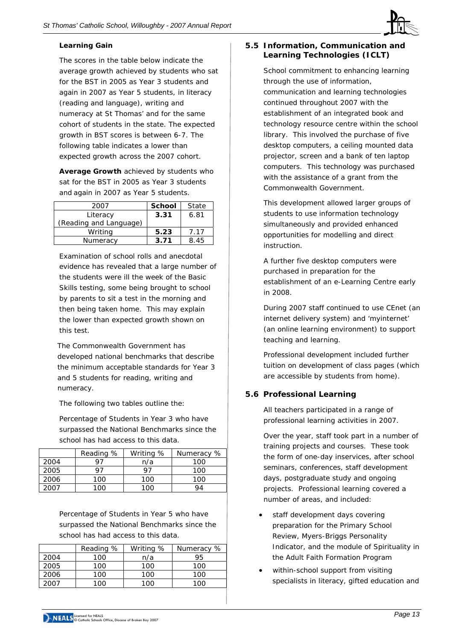

# **Learning Gain**

The scores in the table below indicate the average growth achieved by students who sat for the BST in 2005 as Year 3 students and again in 2007 as Year 5 students, in literacy (reading and language), writing and numeracy at St Thomas' and for the same cohort of students in the state. The expected growth in BST scores is between 6-7. The following table indicates a lower than expected growth across the 2007 cohort.

*Average Growth achieved by students who sat for the BST in 2005 as Year 3 students and again in 2007 as Year 5 students.* 

| <b>School</b> | State |
|---------------|-------|
| 3.31          | 6.81  |
|               |       |
| 5.23          | 7.17  |
| 3.71          | 8.45  |
|               |       |

Examination of school rolls and anecdotal evidence has revealed that a large number of the students were ill the week of the Basic Skills testing, some being brought to school by parents to sit a test in the morning and then being taken home. This may explain the lower than expected growth shown on this test.

The Commonwealth Government has developed national benchmarks that describe the minimum acceptable standards for Year 3 and 5 students for reading, writing and numeracy.

The following two tables outline the:

*Percentage of Students in Year 3 who have surpassed the National Benchmarks since the school has had access to this data.* 

|      | Reading % | Writing % | Numeracy % |
|------|-----------|-----------|------------|
| 2004 | Q7        | n/a       | 100        |
| 2005 | 97        | 97        | 100        |
| 2006 | 100       | 100       | 100        |
| 2007 | ר∩ 1      | 1∩∩       | QΔ         |

*Percentage of Students in Year 5 who have surpassed the National Benchmarks since the school has had access to this data.* 

|      | Reading % | Writing % | Numeracy % |
|------|-----------|-----------|------------|
| 2004 | 100       | n/a       | 95         |
| 2005 | 100       | 100       | 100        |
| 2006 | 100       | 100       | 100        |
| 2007 | 1 በ በ     | 100       | 1∩∩        |

# **5.5 Information, Communication and Learning Technologies (ICLT)**

School commitment to enhancing learning through the use of information, communication and learning technologies continued throughout 2007 with the establishment of an integrated book and technology resource centre within the school library. This involved the purchase of five desktop computers, a ceiling mounted data projector, screen and a bank of ten laptop computers. This technology was purchased with the assistance of a grant from the Commonwealth Government.

This development allowed larger groups of students to use information technology simultaneously and provided enhanced opportunities for modelling and direct instruction.

A further five desktop computers were purchased in preparation for the establishment of an e-Learning Centre early in 2008.

During 2007 staff continued to use CEnet (an internet delivery system) and 'myinternet' (an online learning environment) to support teaching and learning.

Professional development included further tuition on development of class pages (which are accessible by students from home).

# **5.6 Professional Learning**

All teachers participated in a range of professional learning activities in 2007.

Over the year, staff took part in a number of training projects and courses. These took the form of one-day inservices, after school seminars, conferences, staff development days, postgraduate study and ongoing projects. Professional learning covered a number of areas, and included:

- staff development days covering preparation for the Primary School Review, Myers-Briggs Personality Indicator, and the module of Spirituality in the Adult Faith Formation Program
- within-school support from visiting specialists in literacy, gifted education and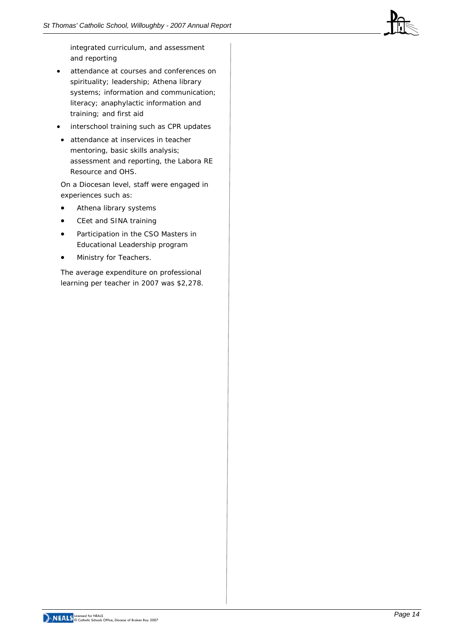

integrated curriculum, and assessment and reporting

- attendance at courses and conferences on spirituality; leadership; Athena library systems; information and communication; literacy; anaphylactic information and training; and first aid
- interschool training such as CPR updates
- attendance at inservices in teacher mentoring, basic skills analysis; assessment and reporting, the Labora RE Resource and OHS.

On a Diocesan level, staff were engaged in experiences such as:

- Athena library systems
- CEet and SINA training
- Participation in the CSO Masters in Educational Leadership program
- Ministry for Teachers.

The average expenditure on professional learning per teacher in 2007 was \$2,278.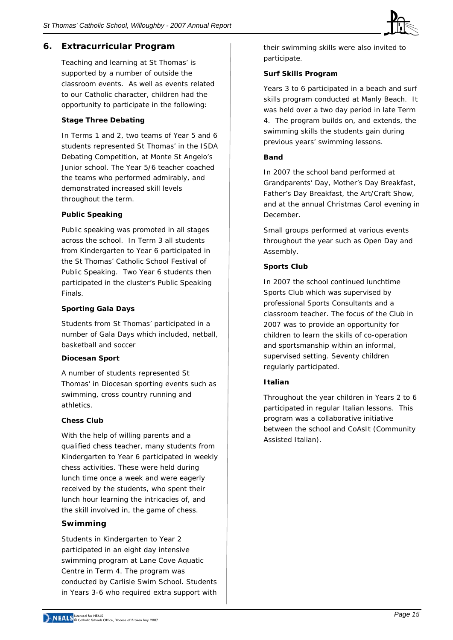# **6. Extracurricular Program**

Teaching and learning at St Thomas' is supported by a number of outside the classroom events. As well as events related to our Catholic character, children had the opportunity to participate in the following:

#### **Stage Three Debating**

In Terms 1 and 2, two teams of Year 5 and 6 students represented St Thomas' in the ISDA Debating Competition, at Monte St Angelo's Junior school. The Year 5/6 teacher coached the teams who performed admirably, and demonstrated increased skill levels throughout the term.

#### **Public Speaking**

Public speaking was promoted in all stages across the school. In Term 3 all students from Kindergarten to Year 6 participated in the St Thomas' Catholic School Festival of Public Speaking. Two Year 6 students then participated in the cluster's Public Speaking Finals.

#### **Sporting Gala Days**

Students from St Thomas' participated in a number of Gala Days which included, netball, basketball and soccer

#### **Diocesan Sport**

A number of students represented St Thomas' in Diocesan sporting events such as swimming, cross country running and athletics.

#### **Chess Club**

With the help of willing parents and a qualified chess teacher, many students from Kindergarten to Year 6 participated in weekly chess activities. These were held during lunch time once a week and were eagerly received by the students, who spent their lunch hour learning the intricacies of, and the skill involved in, the game of chess.

#### **Swimming**

Students in Kindergarten to Year 2 participated in an eight day intensive swimming program at Lane Cove Aquatic Centre in Term 4. The program was conducted by Carlisle Swim School. Students in Years 3-6 who required extra support with

their swimming skills were also invited to participate.

#### **Surf Skills Program**

Years 3 to 6 participated in a beach and surf skills program conducted at Manly Beach. It was held over a two day period in late Term 4. The program builds on, and extends, the swimming skills the students gain during previous years' swimming lessons*.* 

#### **Band**

In 2007 the school band performed at Grandparents' Day, Mother's Day Breakfast, Father's Day Breakfast, the Art/Craft Show, and at the annual Christmas Carol evening in December.

Small groups performed at various events throughout the year such as Open Day and Assembly.

#### **Sports Club**

In 2007 the school continued lunchtime Sports Club which was supervised by professional Sports Consultants and a classroom teacher. The focus of the Club in 2007 was to provide an opportunity for children to learn the skills of co-operation and sportsmanship within an informal, supervised setting. Seventy children regularly participated.

#### **Italian**

Throughout the year children in Years 2 to 6 participated in regular Italian lessons. This program was a collaborative initiative between the school and CoAsIt (Community Assisted Italian).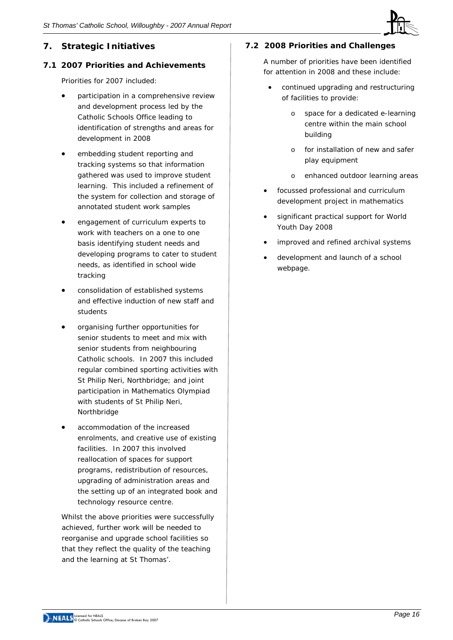# **7. Strategic Initiatives**

## **7.1 2007 Priorities and Achievements**

Priorities for 2007 included:

- participation in a comprehensive review and development process led by the Catholic Schools Office leading to identification of strengths and areas for development in 2008
- embedding student reporting and tracking systems so that information gathered was used to improve student learning. This included a refinement of the system for collection and storage of annotated student work samples
- engagement of curriculum experts to work with teachers on a one to one basis identifying student needs and developing programs to cater to student needs, as identified in school wide tracking
- consolidation of established systems and effective induction of new staff and students
- organising further opportunities for senior students to meet and mix with senior students from neighbouring Catholic schools. In 2007 this included regular combined sporting activities with St Philip Neri, Northbridge; and joint participation in Mathematics Olympiad with students of St Philip Neri, Northbridge
- accommodation of the increased enrolments, and creative use of existing facilities. In 2007 this involved reallocation of spaces for support programs, redistribution of resources, upgrading of administration areas and the setting up of an integrated book and technology resource centre.

Whilst the above priorities were successfully achieved, further work will be needed to reorganise and upgrade school facilities so that they reflect the quality of the teaching and the learning at St Thomas'.

# **7.2 2008 Priorities and Challenges**

A number of priorities have been identified for attention in 2008 and these include:

- continued upgrading and restructuring of facilities to provide:
	- o space for a dedicated e-learning centre within the main school building
	- o for installation of new and safer play equipment
	- o enhanced outdoor learning areas
- focussed professional and curriculum development project in mathematics
- significant practical support for World Youth Day 2008
- improved and refined archival systems
- development and launch of a school webpage.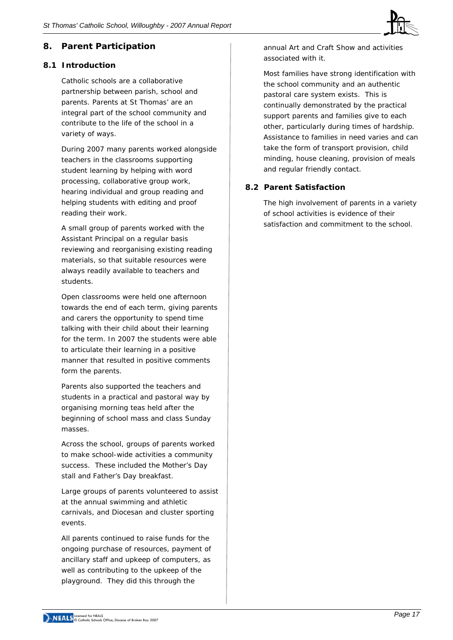

# **8. Parent Participation**

### **8.1 Introduction**

Catholic schools are a collaborative partnership between parish, school and parents. Parents at St Thomas' are an integral part of the school community and contribute to the life of the school in a variety of ways.

During 2007 many parents worked alongside teachers in the classrooms supporting student learning by helping with word processing, collaborative group work, hearing individual and group reading and helping students with editing and proof reading their work.

A small group of parents worked with the Assistant Principal on a regular basis reviewing and reorganising existing reading materials, so that suitable resources were always readily available to teachers and students.

Open classrooms were held one afternoon towards the end of each term, giving parents and carers the opportunity to spend time talking with their child about their learning for the term. In 2007 the students were able to articulate their learning in a positive manner that resulted in positive comments form the parents.

Parents also supported the teachers and students in a practical and pastoral way by organising morning teas held after the beginning of school mass and class Sunday masses.

Across the school, groups of parents worked to make school-wide activities a community success. These included the Mother's Day stall and Father's Day breakfast.

Large groups of parents volunteered to assist at the annual swimming and athletic carnivals, and Diocesan and cluster sporting events.

All parents continued to raise funds for the ongoing purchase of resources, payment of ancillary staff and upkeep of computers, as well as contributing to the upkeep of the playground. They did this through the

annual Art and Craft Show and activities associated with it.

Most families have strong identification with the school community and an authentic pastoral care system exists. This is continually demonstrated by the practical support parents and families give to each other, particularly during times of hardship. Assistance to families in need varies and can take the form of transport provision, child minding, house cleaning, provision of meals and regular friendly contact.

# **8.2 Parent Satisfaction**

The high involvement of parents in a variety of school activities is evidence of their satisfaction and commitment to the school.